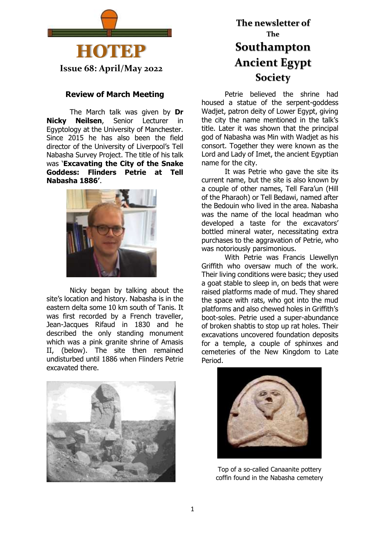

**Issue 68: April/May 2022**

### **Review of March Meeting**

The March talk was given by **Dr Nicky Neilsen**, Senior Lecturer in Egyptology at the University of Manchester. Since 2015 he has also been the field director of the University of Liverpool's Tell Nabasha Survey Project. The title of his talk was '**Excavating the City of the Snake Goddess: Flinders Petrie at Tell Nabasha 1886'**.



Nicky began by talking about the site's location and history. Nabasha is in the eastern delta some 10 km south of Tanis. It was first recorded by a French traveller, Jean-Jacques Rifaud in 1830 and he described the only standing monument which was a pink granite shrine of Amasis II, (below). The site then remained undisturbed until 1886 when Flinders Petrie excavated there.



# **The newsletter of The Southampton Ancient Egypt Society**

Petrie believed the shrine had housed a statue of the serpent-goddess Wadjet, patron deity of Lower Egypt, giving the city the name mentioned in the talk's title. Later it was shown that the principal god of Nabasha was Min with Wadjet as his consort. Together they were known as the Lord and Lady of Imet, the ancient Egyptian name for the city.

It was Petrie who gave the site its current name, but the site is also known by a couple of other names, Tell Fara'un (Hill of the Pharaoh) or Tell Bedawi, named after the Bedouin who lived in the area. Nabasha was the name of the local headman who developed a taste for the excavators' bottled mineral water, necessitating extra purchases to the aggravation of Petrie, who was notoriously parsimonious.

With Petrie was Francis Llewellyn Griffith who oversaw much of the work. Their living conditions were basic; they used a goat stable to sleep in, on beds that were raised platforms made of mud. They shared the space with rats, who got into the mud platforms and also chewed holes in Griffith's boot-soles. Petrie used a super-abundance of broken shabtis to stop up rat holes. Their excavations uncovered foundation deposits for a temple, a couple of sphinxes and cemeteries of the New Kingdom to Late Period.



Top of a so-called Canaanite pottery coffin found in the Nabasha cemetery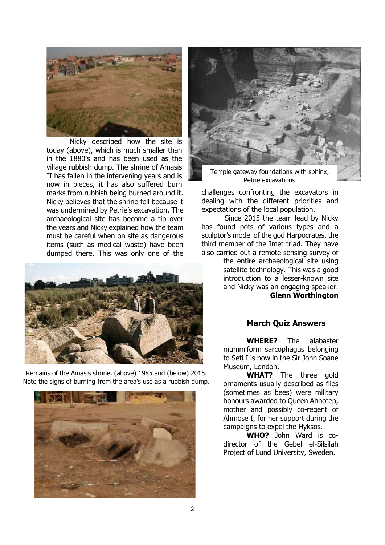

Nicky described how the site is today (above), which is much smaller than in the 1880's and has been used as the village rubbish dump. The shrine of Amasis II has fallen in the intervening years and is now in pieces, it has also suffered burn marks from rubbish being burned around it. Nicky believes that the shrine fell because it was undermined by Petrie's excavation. The archaeological site has become a tip over the years and Nicky explained how the team must be careful when on site as dangerous items (such as medical waste) have been dumped there. This was only one of the



Remains of the Amasis shrine, (above) 1985 and (below) 2015. Note the signs of burning from the area's use as a rubbish dump.





Temple gateway foundations with sphinx, Petrie excavations

challenges confronting the excavators in dealing with the different priorities and expectations of the local population.

Since 2015 the team lead by Nicky has found pots of various types and a sculptor's model of the god Harpocrates, the third member of the Imet triad. They have also carried out a remote sensing survey of

> the entire archaeological site using satellite technology. This was a good introduction to a lesser-known site and Nicky was an engaging speaker. **Glenn Worthington**

### **March Quiz Answers**

**WHERE?** The alabaster mummiform sarcophagus belonging to Seti I is now in the Sir John Soane Museum, London.

**WHAT?** The three gold ornaments usually described as flies (sometimes as bees) were military honours awarded to Queen Ahhotep, mother and possibly co-regent of Ahmose I, for her support during the campaigns to expel the Hyksos.

**WHO?** John Ward is codirector of the Gebel el-Silsilah Project of Lund University, Sweden.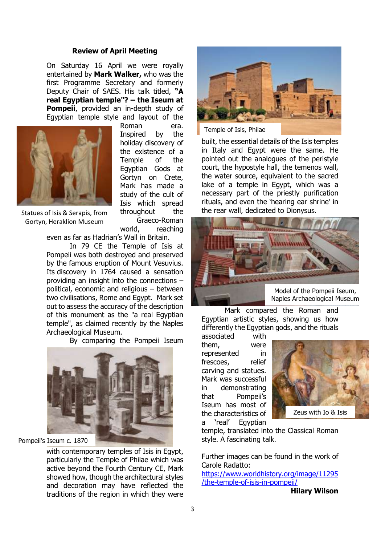#### **Review of April Meeting**

On Saturday 16 April we were royally entertained by **Mark Walker,** who was the first Programme Secretary and formerly Deputy Chair of SAES. His talk titled, **"A real Egyptian temple"? – the Iseum at Pompeii**, provided an in-depth study of Egyptian temple style and layout of the



Gortyn, Heraklion Museum

Roman era. Inspired by the holiday discovery of the existence of a Temple of the Egyptian Gods at Gortyn on Crete, Mark has made a study of the cult of Isis which spread throughout the Graeco-Roman

world, reaching even as far as Hadrian's Wall in Britain.

Archaeological Museum.

In 79 CE the Temple of Isis at Pompeii was both destroyed and preserved by the famous eruption of Mount Vesuvius. Its discovery in 1764 caused a sensation providing an insight into the connections – political, economic and religious – between two civilisations, Rome and Egypt. Mark set out to assess the accuracy of the description of this monument as the "a real Egyptian temple", as claimed recently by the Naples

By comparing the Pompeii Iseum



Pompeii's Iseum c. 1870

with contemporary temples of Isis in Egypt, particularly the Temple of Philae which was active beyond the Fourth Century CE, Mark showed how, though the architectural styles and decoration may have reflected the traditions of the region in which they were



Temple of Isis, Philae

built, the essential details of the Isis temples in Italy and Egypt were the same. He pointed out the analogues of the peristyle court, the hypostyle hall, the temenos wall, the water source, equivalent to the sacred lake of a temple in Egypt, which was a necessary part of the priestly purification rituals, and even the 'hearing ear shrine' in the rear wall, dedicated to Dionysus.



Model of the Pompeii Iseum, Naples Archaeological Museum

Mark compared the Roman and Egyptian artistic styles, showing us how differently the Egyptian gods, and the rituals

associated with them, were represented in frescoes, relief carving and statues. Mark was successful in demonstrating that Pompeii's Iseum has most of the characteristics of a 'real' Egyptian



temple, translated into the Classical Roman style. A fascinating talk.

Further images can be found in the work of Carole Radatto: [https://www.worldhistory.org/image/11295](https://www.worldhistory.org/image/11295/the-temple-of-isis-in-pompeii/) [/the-temple-of-isis-in-pompeii/](https://www.worldhistory.org/image/11295/the-temple-of-isis-in-pompeii/)

**Hilary Wilson**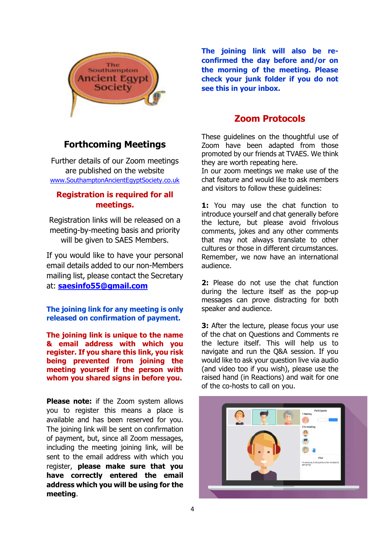

**The joining link will also be reconfirmed the day before and/or on the morning of the meeting. Please check your junk folder if you do not see this in your inbox.**

# **Zoom Protocols**

These guidelines on the thoughtful use of Zoom have been adapted from those promoted by our friends at TVAES. We think they are worth repeating here.

In our zoom meetings we make use of the chat feature and would like to ask members and visitors to follow these guidelines:

**1:** You may use the chat function to introduce yourself and chat generally before the lecture, but please avoid frivolous comments, jokes and any other comments that may not always translate to other cultures or those in different circumstances. Remember, we now have an international audience.

**2:** Please do not use the chat function during the lecture itself as the pop-up messages can prove distracting for both speaker and audience.

**3:** After the lecture, please focus your use of the chat on Questions and Comments re the lecture itself. This will help us to navigate and run the Q&A session. If you would like to ask your question live via audio (and video too if you wish), please use the raised hand (in Reactions) and wait for one of the co-hosts to call on you.



# **Forthcoming Meetings**

Further details of our Zoom meetings are published on the website [www.SouthamptonAncientEgyptSociety.co.uk](http://www.southamptonancientegyptsociety.co.uk/)

### **Registration is required for all meetings.**

Registration links will be released on a meeting-by-meeting basis and priority will be given to SAES Members.

If you would like to have your personal email details added to our non-Members mailing list, please contact the Secretary at: **[saesinfo55@gmail.com](mailto:saesinfo55@gmail.com)**

**The joining link for any meeting is only released on confirmation of payment.**

**The joining link is unique to the name & email address with which you register. If you share this link, you risk being prevented from joining the meeting yourself if the person with whom you shared signs in before you.**

**Please note:** if the Zoom system allows you to register this means a place is available and has been reserved for you. The joining link will be sent on confirmation of payment, but, since all Zoom messages, including the meeting joining link, will be sent to the email address with which you register, **please make sure that you have correctly entered the email address which you will be using for the meeting**.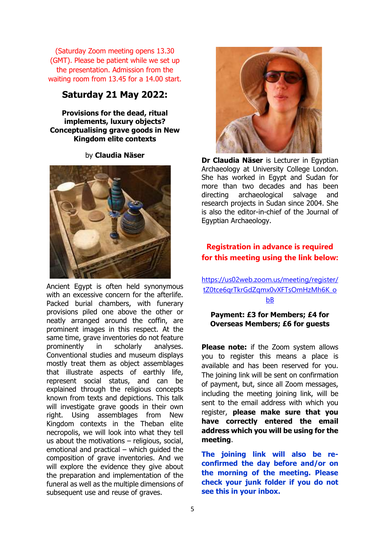(Saturday Zoom meeting opens 13.30 (GMT). Please be patient while we set up the presentation. Admission from the waiting room from 13.45 for a 14.00 start.

## **Saturday 21 May 2022:**

**Provisions for the dead, ritual implements, luxury objects? Conceptualising grave goods in New Kingdom elite contexts**

by **Claudia Näser**



Ancient Egypt is often held synonymous with an excessive concern for the afterlife. Packed burial chambers, with funerary provisions piled one above the other or neatly arranged around the coffin, are prominent images in this respect. At the same time, grave inventories do not feature prominently in scholarly analyses. Conventional studies and museum displays mostly treat them as object assemblages that illustrate aspects of earthly life, represent social status, and can be explained through the religious concepts known from texts and depictions. This talk will investigate grave goods in their own right. Using assemblages from New Kingdom contexts in the Theban elite necropolis, we will look into what they tell us about the motivations – religious, social, emotional and practical – which guided the composition of grave inventories. And we will explore the evidence they give about the preparation and implementation of the funeral as well as the multiple dimensions of subsequent use and reuse of graves.



**Dr Claudia Näser** is Lecturer in Egyptian Archaeology at University College London. She has worked in Egypt and Sudan for more than two decades and has been directing archaeological salvage and research projects in Sudan since 2004. She is also the editor-in-chief of the Journal of Egyptian Archaeology.

## **Registration in advance is required for this meeting using the link below:**

[https://us02web.zoom.us/meeting/register/](https://us02web.zoom.us/meeting/register/tZ0tce6qrTkrGdZqmx0vXFTsOmHzMh6K_obB) [tZ0tce6qrTkrGdZqmx0vXFTsOmHzMh6K\\_o](https://us02web.zoom.us/meeting/register/tZ0tce6qrTkrGdZqmx0vXFTsOmHzMh6K_obB) [bB](https://us02web.zoom.us/meeting/register/tZ0tce6qrTkrGdZqmx0vXFTsOmHzMh6K_obB)

### **Payment: £3 for Members; £4 for Overseas Members; £6 for guests**

**Please note:** if the Zoom system allows you to register this means a place is available and has been reserved for you. The joining link will be sent on confirmation of payment, but, since all Zoom messages, including the meeting joining link, will be sent to the email address with which you register, **please make sure that you have correctly entered the email address which you will be using for the meeting**.

**The joining link will also be reconfirmed the day before and/or on the morning of the meeting. Please check your junk folder if you do not see this in your inbox.**